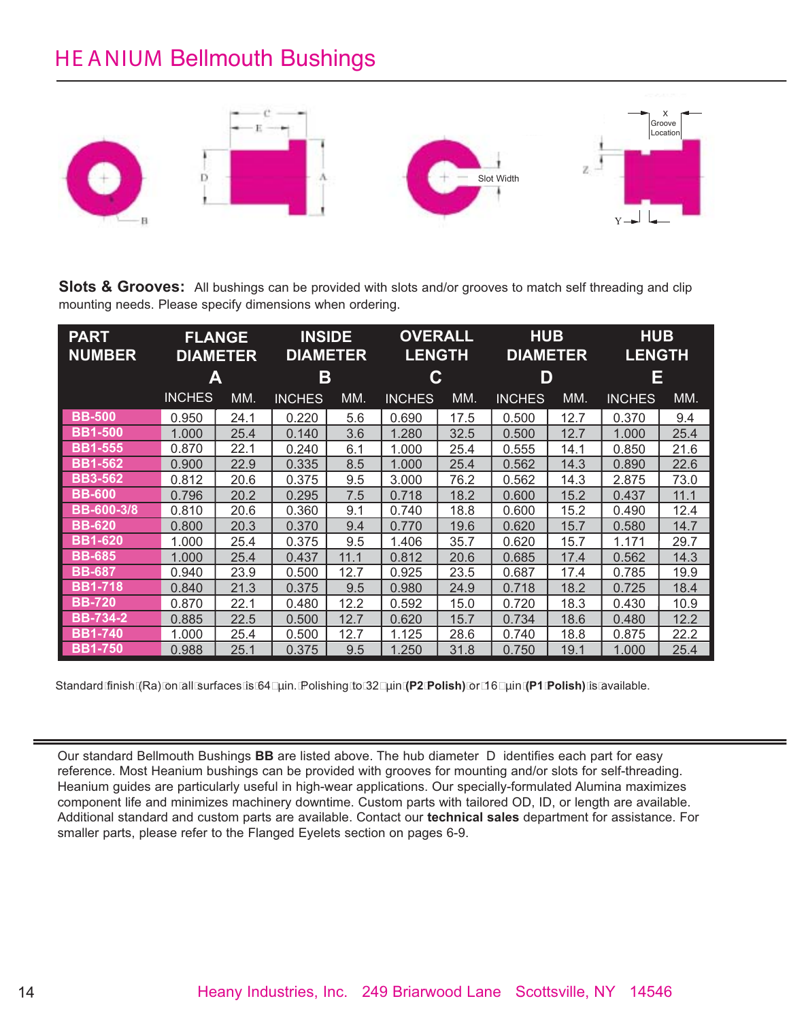## HE ANIUM Bellmouth Bushings



**Slots & Grooves:** All bushings can be provided with slots and/or grooves to match self threading and clip mounting needs. Please specify dimensions when ordering.

| <b>PART</b><br><b>NUMBER</b> | <b>FLANGE</b><br><b>DIAMETER</b> |      | <b>INSIDE</b><br><b>DIAMETER</b> |      | <b>OVERALL</b><br><b>LENGTH</b> |      | <b>HUB</b><br><b>DIAMETER</b> |      | <b>HUB</b><br><b>LENGTH</b> |      |
|------------------------------|----------------------------------|------|----------------------------------|------|---------------------------------|------|-------------------------------|------|-----------------------------|------|
|                              | A                                |      | Β                                |      | С                               |      | D                             |      | E                           |      |
|                              | <b>INCHES</b>                    | MM.  | <b>INCHES</b>                    | MM.  | <b>INCHES</b>                   | MM.  | <b>INCHES</b>                 | MM.  | <b>INCHES</b>               | MM.  |
| <b>BB-500</b>                | 0.950                            | 24.1 | 0.220                            | 5.6  | 0.690                           | 17.5 | 0.500                         | 12.7 | 0.370                       | 9.4  |
| <b>BB1-500</b>               | 1.000                            | 25.4 | 0.140                            | 3.6  | 1.280                           | 32.5 | 0.500                         | 12.7 | 1.000                       | 25.4 |
| <b>BB1-555</b>               | 0.870                            | 22.1 | 0.240                            | 6.1  | 1.000                           | 25.4 | 0.555                         | 14.1 | 0.850                       | 21.6 |
| <b>BB1-562</b>               | 0.900                            | 22.9 | 0.335                            | 8.5  | 1.000                           | 25.4 | 0.562                         | 14.3 | 0.890                       | 22.6 |
| <b>BB3-562</b>               | 0.812                            | 20.6 | 0.375                            | 9.5  | 3.000                           | 76.2 | 0.562                         | 14.3 | 2.875                       | 73.0 |
| <b>BB-600</b>                | 0.796                            | 20.2 | 0.295                            | 7.5  | 0.718                           | 18.2 | 0.600                         | 15.2 | 0.437                       | 11.1 |
| <b>BB-600-3/8</b>            | 0.810                            | 20.6 | 0.360                            | 9.1  | 0.740                           | 18.8 | 0.600                         | 15.2 | 0.490                       | 12.4 |
| <b>BB-620</b>                | 0.800                            | 20.3 | 0.370                            | 9.4  | 0.770                           | 19.6 | 0.620                         | 15.7 | 0.580                       | 14.7 |
| <b>BB1-620</b>               | 1.000                            | 25.4 | 0.375                            | 9.5  | 1.406                           | 35.7 | 0.620                         | 15.7 | 1.171                       | 29.7 |
| <b>BB-685</b>                | 1.000                            | 25.4 | 0.437                            | 11.1 | 0.812                           | 20.6 | 0.685                         | 17.4 | 0.562                       | 14.3 |
| <b>BB-687</b>                | 0.940                            | 23.9 | 0.500                            | 12.7 | 0.925                           | 23.5 | 0.687                         | 17.4 | 0.785                       | 19.9 |
| <b>BB1-718</b>               | 0.840                            | 21.3 | 0.375                            | 9.5  | 0.980                           | 24.9 | 0.718                         | 18.2 | 0.725                       | 18.4 |
| <b>BB-720</b>                | 0.870                            | 22.1 | 0.480                            | 12.2 | 0.592                           | 15.0 | 0.720                         | 18.3 | 0.430                       | 10.9 |
| <b>BB-734-2</b>              | 0.885                            | 22.5 | 0.500                            | 12.7 | 0.620                           | 15.7 | 0.734                         | 18.6 | 0.480                       | 12.2 |
| <b>BB1-740</b>               | 1.000                            | 25.4 | 0.500                            | 12.7 | 1.125                           | 28.6 | 0.740                         | 18.8 | 0.875                       | 22.2 |
| <b>BB1-750</b>               | 0.988                            | 25.1 | 0.375                            | 9.5  | .250                            | 31.8 | 0.750                         | 19.1 | 1.000                       | 25.4 |

Standard finish (Ra) on all surfaces is 64 µin. Polishing to 32 µin **(P2 Polish)** or 16 µin **(P1 Polish)** is available.

Our standard Bellmouth Bushings **BB** are listed above. The hub diameter D identifies each part for easy reference. Most Heanium bushings can be provided with grooves for mounting and/or slots for self-threading. Heanium guides are particularly useful in high-wear applications. Our specially-formulated Alumina maximizes component life and minimizes machinery downtime. Custom parts with tailored OD, ID, or length are available. Additional standard and custom parts are available. Contact our **technical sales** department for assistance. For smaller parts, please refer to the Flanged Eyelets section on pages 6-9.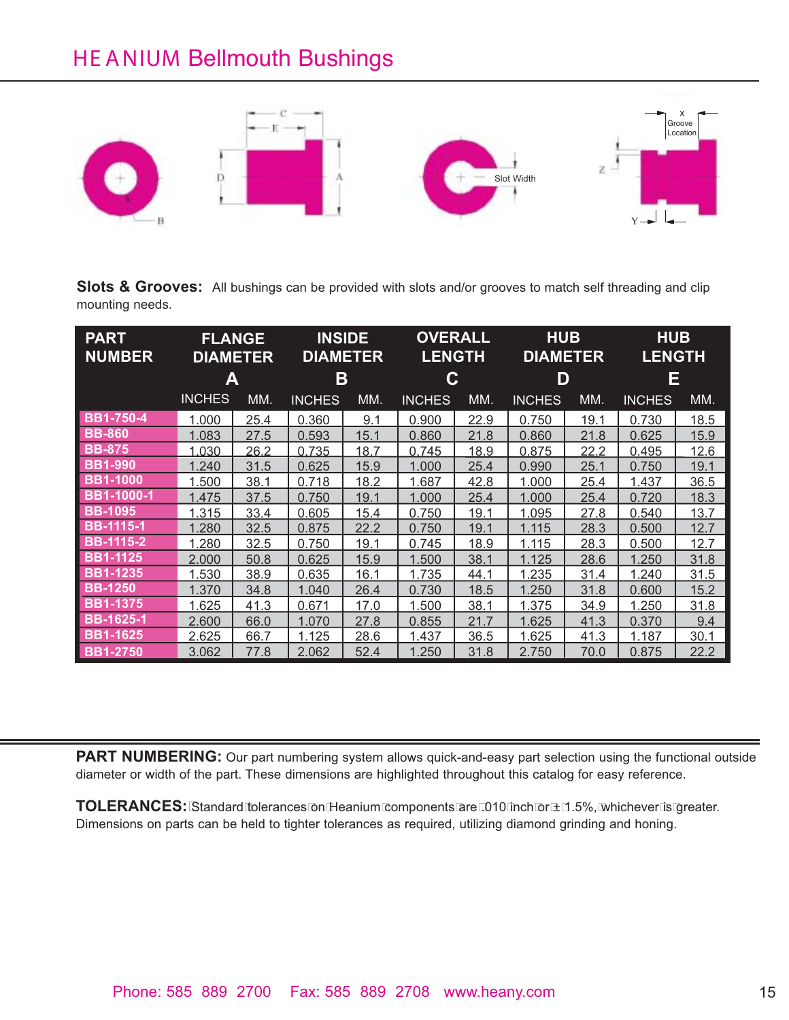## HE ANIUM Bellmouth Bushings



**Slots & Grooves:** All bushings can be provided with slots and/or grooves to match self threading and clip mounting needs.

| <b>PART</b><br><b>NUMBER</b> | <b>FLANGE</b><br><b>DIAMETER</b> |      | <b>INSIDE</b><br><b>DIAMETER</b> |      | <b>OVERALL</b><br><b>LENGTH</b> |      | <b>HUB</b><br><b>DIAMETER</b> |      | <b>HUB</b><br><b>LENGTH</b> |             |
|------------------------------|----------------------------------|------|----------------------------------|------|---------------------------------|------|-------------------------------|------|-----------------------------|-------------|
|                              | А                                |      | Β                                |      | C                               |      | D                             |      | Ε                           |             |
|                              | <b>INCHES</b>                    | MM.  | <b>INCHES</b>                    | MM.  | <b>INCHES</b>                   | MM.  | <b>INCHES</b>                 | MM.  | <b>INCHES</b>               | MM.         |
| <b>BB1-750-4</b>             | 1.000                            | 25.4 | 0.360                            | 9.1  | 0.900                           | 22.9 | 0.750                         | 19.1 | 0.730                       | 18.5        |
| <b>BB-860</b>                | 1.083                            | 27.5 | 0.593                            | 15.1 | 0.860                           | 21.8 | 0.860                         | 21.8 | 0.625                       | 15.9        |
| <b>BB-875</b>                | 1.030                            | 26.2 | 0.735                            | 18.7 | 0.745                           | 18.9 | 0.875                         | 22.2 | 0.495                       | <u>12.6</u> |
| <b>BB1-990</b>               | 1.240                            | 31.5 | 0.625                            | 15.9 | 1.000                           | 25.4 | 0.990                         | 25.1 | 0.750                       | 19.1        |
| <b>BB1-1000</b>              | 1.500                            | 38.1 | 0.718                            | 18.2 | 1.687                           | 42.8 | 1.000                         | 25.4 | 1.437                       | 36.5        |
| <b>BB1-1000-1</b>            | 1.475                            | 37.5 | 0.750                            | 19.1 | 1.000                           | 25.4 | 1.000                         | 25.4 | 0.720                       | 18.3        |
| <b>BB-1095</b>               | 1.315                            | 33.4 | 0.605                            | 15.4 | 0.750                           | 19.1 | 1.095                         | 27.8 | 0.540                       | 13.7        |
| <b>BB-1115-1</b>             | 1.280                            | 32.5 | 0.875                            | 22.2 | 0.750                           | 19.1 | 1.115                         | 28.3 | 0.500                       | 12.7        |
| <b>BB-1115-2</b>             | 1.280                            | 32.5 | 0.750                            | 19.1 | 0.745                           | 18.9 | 1.115                         | 28.3 | 0.500                       | 12.7        |
| <b>BB1-1125</b>              | 2.000                            | 50.8 | 0.625                            | 15.9 | 1.500                           | 38.1 | 1.125                         | 28.6 | 1.250                       | 31.8        |
| <b>BB1-1235</b>              | <u>1.530</u>                     | 38.9 | 0.635                            | 16.1 | <u>1.735</u>                    | 44.1 | <u>1.235</u>                  | 31.4 | 1.240                       | <u>31.5</u> |
| <b>BB-1250</b>               | 1.370                            | 34.8 | 1.040                            | 26.4 | 0.730                           | 18.5 | 1.250                         | 31.8 | 0.600                       | 15.2        |
| <b>BB1-1375</b>              | 1.625                            | 41.3 | 0.671                            | 17.0 | 1.500                           | 38.1 | 1.375                         | 34.9 | 1.250                       | 31.8        |
| <b>BB-1625-1</b>             | 2.600                            | 66.0 | 1.070                            | 27.8 | 0.855                           | 21.7 | 1.625                         | 41.3 | 0.370                       | 9.4         |
| <b>BB1-1625</b>              | 2.625                            | 66.7 | 1.125                            | 28.6 | 1.437                           | 36.5 | 1.625                         | 41.3 | 1.187                       | 30.1        |
| <b>BB1-2750</b>              | 3.062                            | 77.8 | 2.062                            | 52.4 | 1.250                           | 31.8 | 2.750                         | 70.0 | 0.875                       | 22.2        |

**PART NUMBERING:** Our part numbering system allows quick-and-easy part selection using the functional outside diameter or width of the part. These dimensions are highlighted throughout this catalog for easy reference.

**TOLERANCES:** Standard tolerances on Heanium components are .010 inch or ± 1.5%, whichever is greater. Dimensions on parts can be held to tighter tolerances as required, utilizing diamond grinding and honing.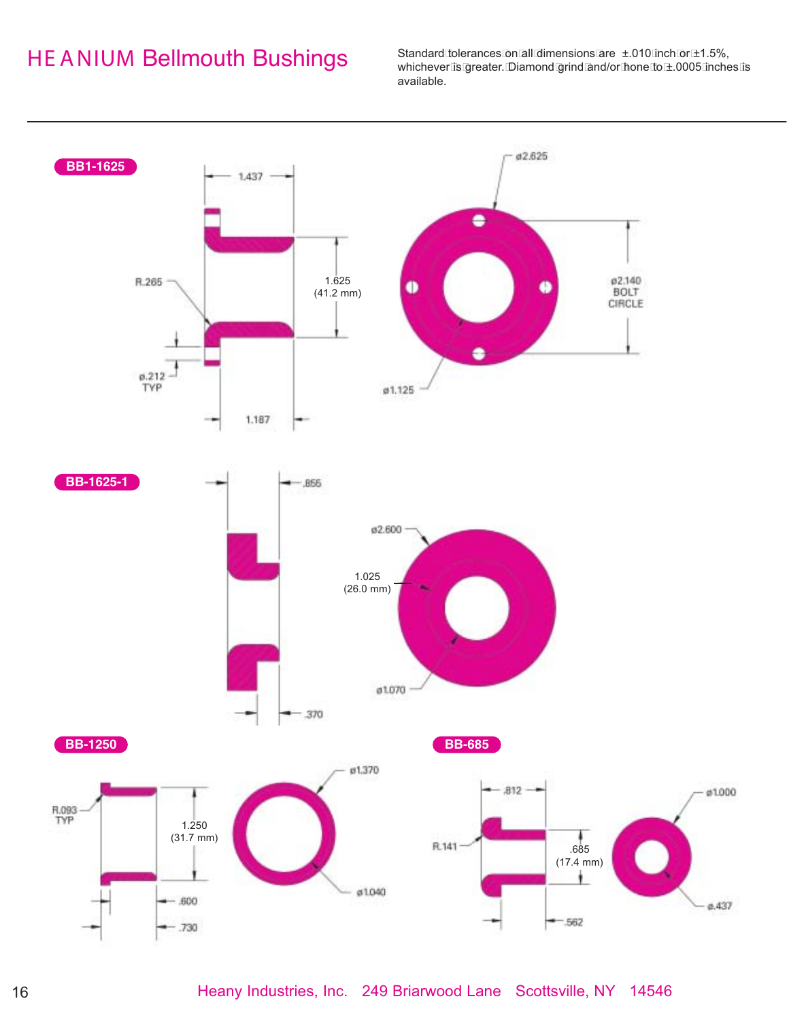## HE ANIUM Bellmouth Bushings

Standard tolerances on all dimensions are ±.010 inch or ±1.5%, whichever is greater. Diamond grind and/or hone to ±.0005 inches is available.

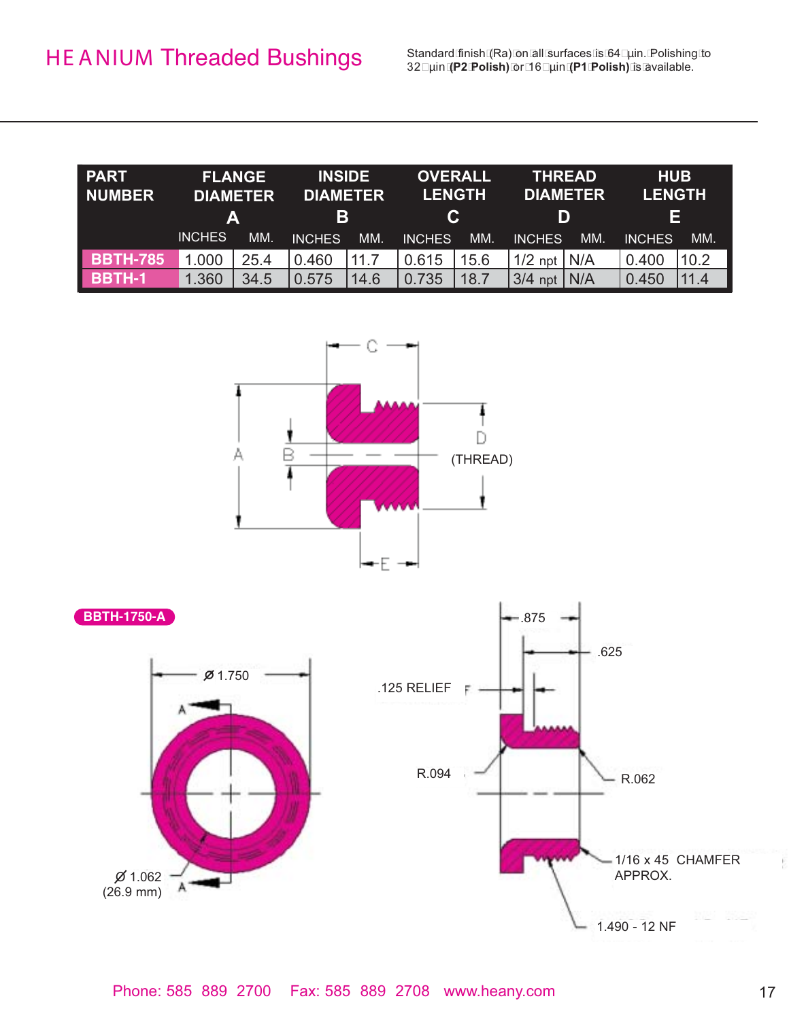Standard finish (Ra) on all surfaces is 64 uin. Polishing to 32 µin **(P2 Polish)** or 16 µin **(P1 Polish)** is available.

| <b>PART</b><br><b>NUMBER</b> | <b>FLANGE</b><br><b>DIAMETER</b><br>A |      | <b>INSIDE</b><br><b>DIAMETER</b><br>В |      | <b>OVERALL</b><br><b>LENGTH</b><br>C. |      | <b>THREAD</b><br><b>DIAMETER</b><br>D |     | <b>HUB</b><br><b>LENGTH</b><br>Е |      |
|------------------------------|---------------------------------------|------|---------------------------------------|------|---------------------------------------|------|---------------------------------------|-----|----------------------------------|------|
|                              | <b>INCHES</b>                         | MM.  | <b>INCHES</b>                         | MM.  | <b>INCHES</b>                         | MM.  | <b>INCHES</b>                         | MM. | <b>INCHES</b>                    | MM.  |
| <b>BBTH-785</b>              | 1.000                                 | 25.4 | 0.460                                 | 11.7 | 0.615                                 | 15.6 | $1/2$ npt                             | N/A | 0.400                            | 10.2 |
| <b>BBTH-1</b>                | .360                                  | 34.5 | 0.575                                 | 14.6 | 0.735                                 | 18.7 | 3/4<br>npt                            | N/A | 0.450                            | 11.4 |